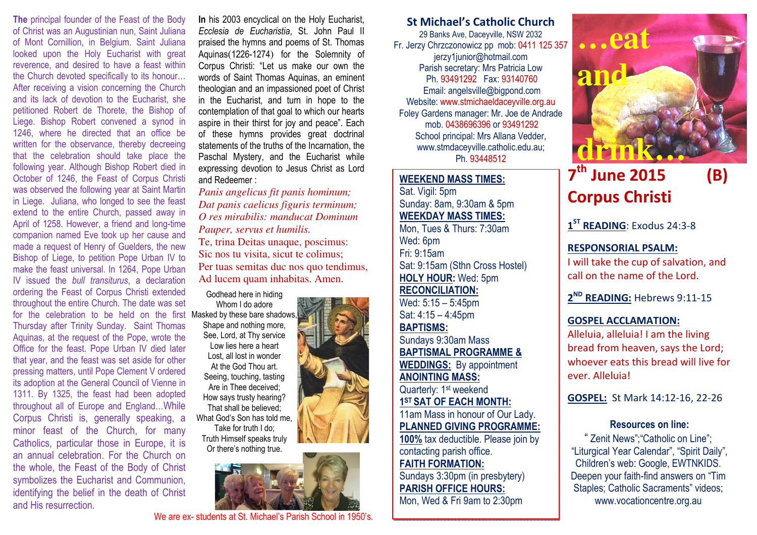The principal founder of the Feast of the Body of Christ was an Augustinian nun, Saint Juliana of Mont Cornillion, in Belgium. Saint Juliana looked upon the Holy Eucharist with great reverence, and desired to have a feast within the Church devoted specifically to its honour… After receiving a vision concerning the Church and its lack of devotion to the Eucharist, she petitioned Robert de Thorete, the Bishop of Liege. Bishop Robert convened a synod in 1246, where he directed that an office be written for the observance, thereby decreeing that the celebration should take place the following year. Although Bishop Robert died in October of 1246, the Feast of Corpus Christi was observed the following year at Saint Martin in Liege. Juliana, who longed to see the feast extend to the entire Church, passed away in April of 1258. However, a friend and long-time companion named Eve took up her cause and made a request of Henry of Guelders, the new Bishop of Liege, to petition Pope Urban IV to make the feast universal. In 1264, Pope Urban IV issued the bull transiturus, a declaration ordering the Feast of Corpus Christi extended throughout the entire Church. The date was set for the celebration to be held on the first Masked by these bare shadows, Thursday after Trinity Sunday. Saint Thomas Aquinas, at the request of the Pope, wrote the Office for the feast. Pope Urban IV died later that year, and the feast was set aside for other pressing matters, until Pope Clement V ordered its adoption at the General Council of Vienne in 1311. By 1325, the feast had been adopted throughout all of Europe and England…While Corpus Christi is, generally speaking, a minor feast of the Church, for many Catholics, particular those in Europe, it is an annual celebration. For the Church on the whole, the Feast of the Body of Christ symbolizes the Eucharist and Communion, identifying the belief in the death of Christ and His resurrection.

In his 2003 encyclical on the Holy Eucharist, Ecclesia de Eucharistia, St. John Paul II praised the hymns and poems of St. Thomas Aquinas(1226-1274) for the Solemnity of Corpus Christi: "Let us make our own the words of Saint Thomas Aquinas, an eminent theologian and an impassioned poet of Christ in the Eucharist, and turn in hope to the contemplation of that goal to which our hearts aspire in their thirst for joy and peace". Each of these hymns provides great doctrinal statements of the truths of the Incarnation, the Paschal Mystery, and the Eucharist while expressing devotion to Jesus Christ as Lord and Redeemer :

*Panis angelicus fit panis hominum; Dat panis caelicus figuris terminum; O res mirabilis: manducat Dominum Pauper, servus et humilis.*Te, trina Deitas unaque, poscimus: Sic nos tu visita, sicut te colimus;

Per tuas semitas duc nos quo tendimus, Ad lucem quam inhabitas. Amen.

Godhead here in hiding

Whom I do adore

Shape and nothing more, See, Lord, at Thy service Low lies here a heart Lost, all lost in wonder At the God Thou art.Seeing, touching, tasting Are in Thee deceived; How says trusty hearing? That shall be believed; What God's Son has told me, Take for truth I do; Truth Himself speaks truly Or there's nothing true.



We are ex- students at St. Michael's Parish School in 1950's.

St Michael's Catholic Church

29 Banks Ave, Daceyville, NSW 2032 Fr. Jerzy Chrzczonowicz pp mob: 0411 125 357jerzy1junior@hotmail.com Parish secretary: Mrs Patricia Low Ph. 93491292 Fax: 93140760 Email: angelsville@bigpond.com Website: www.stmichaeldaceyville.org.au Foley Gardens manager: Mr. Joe de Andrade mob. 0438696396 or 93491292 School principal: Mrs Allana Vedder, www.stmdaceyville.catholic.edu.au; Ph. 93448512

#### WEEKEND MASS TIMES:

Sat. Vigil: 5pm Sunday: 8am, 9:30am & 5pm WEEKDAY MASS TIMES: Mon, Tues & Thurs: 7:30am Wed: 6pm Fri: 9:15am Sat: 9:15am (Sthn Cross Hostel) HOLY HOUR: Wed: 5pm RECONCILIATION: Wed: 5:15 – 5:45pm Sat: 4:15 – 4:45pm

BAPTISMS: Sundays 9:30am Mass BAPTISMAL PROGRAMME & WEDDINGS: By appointment ANOINTING MASS: Quarterly: 1<sup>st</sup> weekend 1ST SAT OF EACH MONTH: 11am Mass in honour of Our Lady. PLANNED GIVING PROGRAMME: 100% tax deductible. Please join by contacting parish office. FAITH FORMATION: . Sundays 3:30pm (in presbytery) PARISH OFFICE HOURS:





# $7<sup>th</sup>$  June 2015 (B) Corpus Christi

1<sup>ST</sup> READING: Exodus 24:3-8

## RESPONSORIAL PSALM:

I will take the cup of salvation, and call on the name of the Lord.

2<sup>ND</sup> READING: Hebrews 9:11-15

## GOSPEL ACCLAMATION:

Alleluia, alleluia! I am the living bread from heaven, says the Lord; whoever eats this bread will live for ever. Alleluia!

GOSPEL: St Mark 14:12-16, 22-26

# Resources on line:

" Zenit News";"Catholic on Line"; "Liturgical Year Calendar", "Spirit Daily", Children's web: Google, EWTNKIDS. Deepen your faith-find answers on "Tim Staples; Catholic Sacraments" videos; www.vocationcentre.org.au